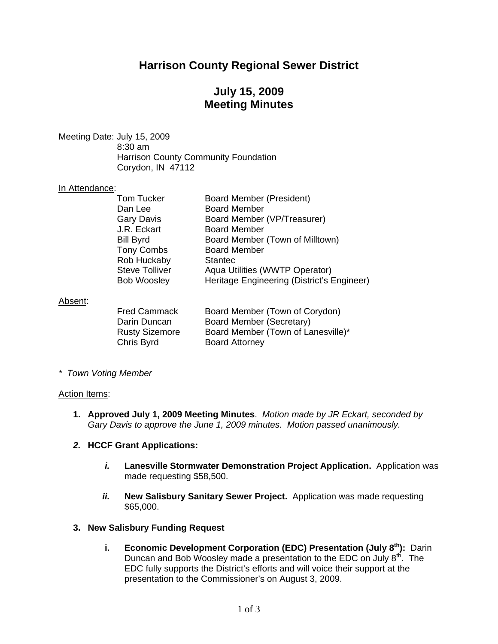## **Harrison County Regional Sewer District**

## **July 15, 2009 Meeting Minutes**

Meeting Date: July 15, 2009 8:30 am Harrison County Community Foundation Corydon, IN 47112

#### In Attendance:

| <b>Tom Tucker</b>     | <b>Board Member (President)</b>            |
|-----------------------|--------------------------------------------|
| Dan Lee               | <b>Board Member</b>                        |
| <b>Gary Davis</b>     | Board Member (VP/Treasurer)                |
| J.R. Eckart           | <b>Board Member</b>                        |
| <b>Bill Byrd</b>      | Board Member (Town of Milltown)            |
| <b>Tony Combs</b>     | <b>Board Member</b>                        |
| Rob Huckaby           | <b>Stantec</b>                             |
| <b>Steve Tolliver</b> | Aqua Utilities (WWTP Operator)             |
| <b>Bob Woosley</b>    | Heritage Engineering (District's Engineer) |
|                       |                                            |

#### Absent:

| <b>Fred Cammack</b>   | Board Member (Town of Corydon)     |
|-----------------------|------------------------------------|
| Darin Duncan          | Board Member (Secretary)           |
| <b>Rusty Sizemore</b> | Board Member (Town of Lanesville)* |
| Chris Byrd            | <b>Board Attorney</b>              |

*\* Town Voting Member* 

#### Action Items:

**1. Approved July 1, 2009 Meeting Minutes**. *Motion made by JR Eckart, seconded by Gary Davis to approve the June 1, 2009 minutes. Motion passed unanimously.* 

#### *2.* **HCCF Grant Applications:**

- *i.* **Lanesville Stormwater Demonstration Project Application.** Application was made requesting \$58,500.
- *ii.* **New Salisbury Sanitary Sewer Project.** Application was made requesting \$65,000.

#### **3. New Salisbury Funding Request**

**i.** Economic Development Corporation (EDC) Presentation (July 8<sup>th</sup>): Darin Duncan and Bob Woosley made a presentation to the EDC on July 8<sup>th</sup>. The EDC fully supports the District's efforts and will voice their support at the presentation to the Commissioner's on August 3, 2009.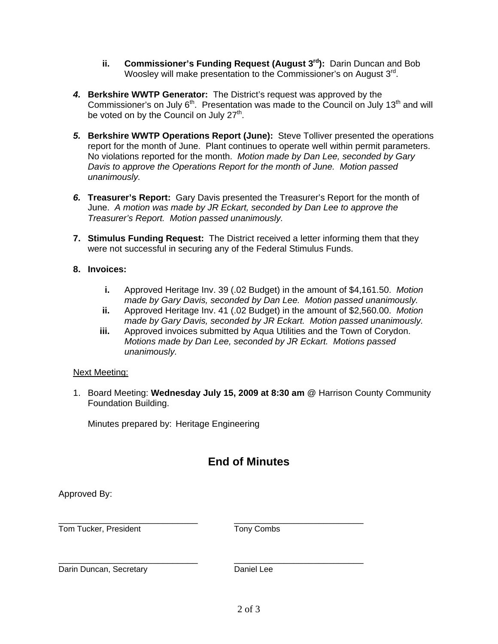- **ii.** Commissioner's Funding Request (August 3<sup>rd</sup>): Darin Duncan and Bob Woosley will make presentation to the Commissioner's on August 3rd.
- *4.* **Berkshire WWTP Generator:** The District's request was approved by the Commissioner's on July  $6<sup>th</sup>$ . Presentation was made to the Council on July 13<sup>th</sup> and will be voted on by the Council on July  $27<sup>th</sup>$ .
- **5. Berkshire WWTP Operations Report (June):** Steve Tolliver presented the operations report for the month of June. Plant continues to operate well within permit parameters. No violations reported for the month. *Motion made by Dan Lee, seconded by Gary Davis to approve the Operations Report for the month of June. Motion passed unanimously.*
- *6.* **Treasurer's Report:** Gary Davis presented the Treasurer's Report for the month of June. *A motion was made by JR Eckart, seconded by Dan Lee to approve the Treasurer's Report. Motion passed unanimously.*
- **7. Stimulus Funding Request:** The District received a letter informing them that they were not successful in securing any of the Federal Stimulus Funds.

### **8. Invoices:**

- **i.** Approved Heritage Inv. 39 (.02 Budget) in the amount of \$4,161.50. *Motion made by Gary Davis, seconded by Dan Lee. Motion passed unanimously.*
- **ii.** Approved Heritage Inv. 41 (.02 Budget) in the amount of \$2,560.00. *Motion made by Gary Davis, seconded by JR Eckart. Motion passed unanimously.*
- **iii.** Approved invoices submitted by Aqua Utilities and the Town of Corydon. *Motions made by Dan Lee, seconded by JR Eckart. Motions passed unanimously.*

### Next Meeting:

1. Board Meeting: **Wednesday July 15, 2009 at 8:30 am** @ Harrison County Community Foundation Building.

Minutes prepared by: Heritage Engineering

# **End of Minutes**

Approved By:

Tom Tucker, President Tony Combs

\_\_\_\_\_\_\_\_\_\_\_\_\_\_\_\_\_\_\_\_\_\_\_\_\_\_\_\_ \_\_\_\_\_\_\_\_\_\_\_\_\_\_\_\_\_\_\_\_\_\_\_\_\_\_

Darin Duncan, Secretary **Daniel Lee** 

\_\_\_\_\_\_\_\_\_\_\_\_\_\_\_\_\_\_\_\_\_\_\_\_\_\_\_\_ \_\_\_\_\_\_\_\_\_\_\_\_\_\_\_\_\_\_\_\_\_\_\_\_\_\_